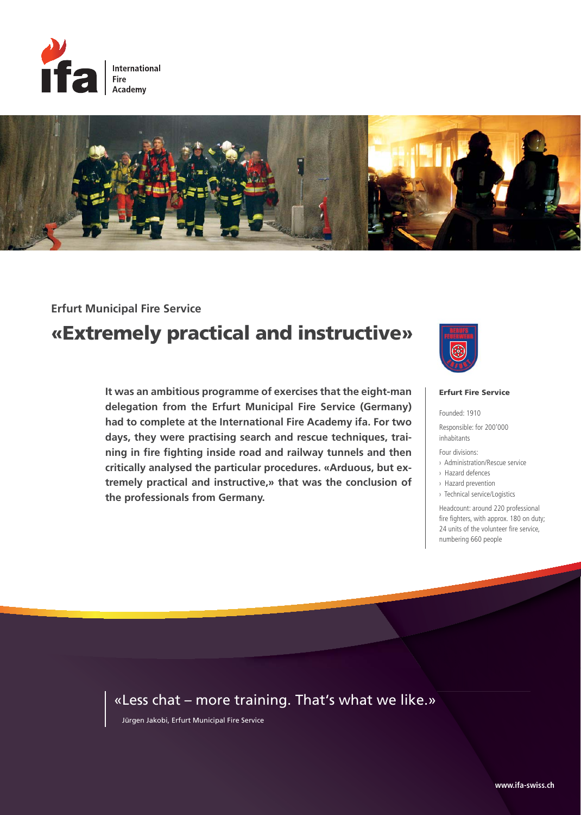



### **Erfurt Municipal Fire Service**

# **«Extremely practical and instructive»**

**It was an ambitious programme of exercises that the eight-man delegation from the Erfurt Municipal Fire Service (Germany) had to complete at the International Fire Academy ifa. For two days, they were practising search and rescue techniques, training in fire fighting inside road and railway tunnels and then critically analysed the particular procedures. «Arduous, but extremely practical and instructive,» that was the conclusion of the professionals from Germany.** 



#### **Erfurt Fire Service**

Founded: 1910

Responsible: for 200'000 inhabitants

Four divisions:

- › Administration/Rescue service
- › Hazard defences
- › Hazard prevention

› Technical service/Logistics

Headcount: around 220 professional fire fighters, with approx. 180 on duty; 24 units of the volunteer fire service, numbering 660 people

### « Less chat – more training. That's what we like.»

Jürgen Jakobi, Erfurt Municipal Fire Service